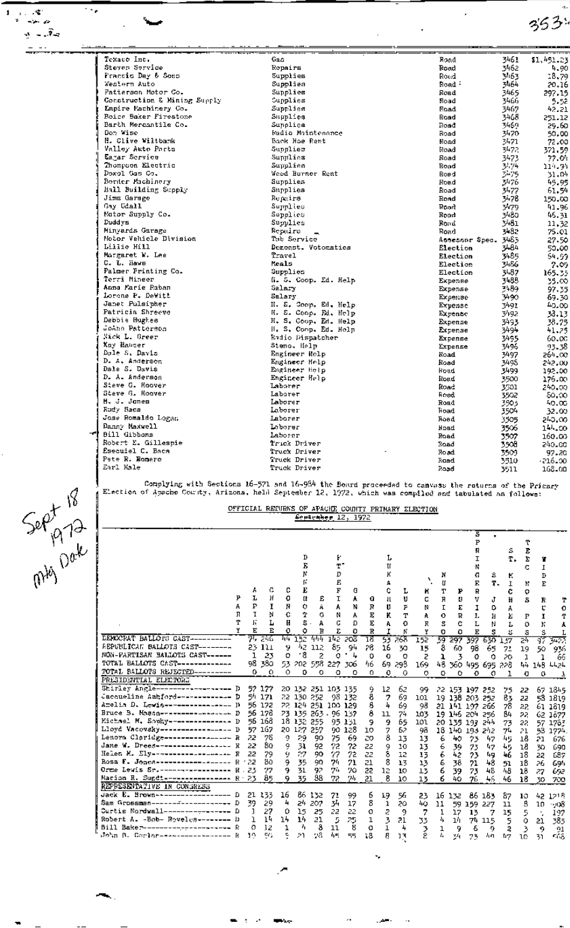$353$ 

ä,

| Texaco Inc.                  | Gaa                             | Road           | 3461         | \$1,451.23      |
|------------------------------|---------------------------------|----------------|--------------|-----------------|
| Stoven Service               | Repairs                         | Road           | 3462         | 4.90            |
| Francis Day & Sons           | Supplies                        | Roud           | 3463         | 18,79           |
| Western Auto                 | Supplies                        | Road:          | 3464         | 20.16           |
| Patierson Motor Co.          | Supplies                        | Road           | 3465         | 297.15          |
| Construction & Mining Supply | Supplies                        | Road           | 3466         | 5.52            |
| Empire Machinery Co.         | Supplies                        | Road           | 3467         | 42.21           |
| Roice Baker Firestone        | Supplies                        | Road           | 3468         | 251.12          |
| Barth Mercantile Co.         | Sunalice                        | Road           | 3469.        | 29.60           |
| Don Vise                     | Badio Mintenance                | Road           | 3470         | 50.00           |
| H. Clive Wiltbank            | Back Hoe Rent                   | Road           | 3471         |                 |
| Valloy Auto Parts            | Supplies                        | Road           | 3472         | 72.00<br>321-59 |
| Eagar Service                | Supplies                        | Road           | 3473         |                 |
| Thompson Electric            | Supplies                        | Road           | 3474         | 77.04           |
| Doxol Cas Co.                | Weed Burner Rent                | Road           |              | 114.94          |
| Border Machinery             | Supplies                        | Road           | 3475<br>3476 | 51.04           |
| Hall Building Supply         | Supplies                        | Road           |              | 45.95           |
| Jima Garage                  | Repairs                         | Road           | 3477<br>3478 | 61.54           |
| Gay Gdall                    | Տորրիկաց                        | Road           | 3479         | 150.00<br>41.96 |
| Motor Supply Co.             | Sapplies                        | Road           | 3480.        |                 |
| Duddys                       | Supplies                        | Rond           | 3481         | 45.31           |
| Minyards Garage              | Repulso                         |                | 3482         | 11.32           |
| Motor Vehicle Division       | Tab Service                     | Road           |              | 75.OI           |
| Lillie Hill                  | Demonst. Votomatics             | Atseasor Spec. | 3463         | 27.50           |
| Morgaret W. Lee              | Travel                          | Election       | 5484         | 50.00           |
| C. L. Maws                   | Mrals                           | Election       | 3485         | 54.GG           |
| Palmer Printing Co.          | Supplies                        | Election       | 3486         | 7.09            |
| Terri Mineer                 |                                 | Election       | 3487         | 165-35          |
| Anna Marie Raban             | (i. 5. Coop. Ed. Help<br>Salary | Expense        | 3488         | 35.00           |
| Lorene P. DeWitt             | Salary                          | Expense        | 3489         | 97.35           |
| Janet Pulsipher              |                                 | Expense        | 3490.        | 69.30           |
| Patricia Shreeve             | H. S. Coop. Ed. Help            | Expense        | 3491         | 40.00           |
| Debbie Hughes                | H. S. Coop. Rt. Help            | Expense        | 3492.        | 33.13           |
| Johns Patterson              | H. S. Coop. Ed. Help            | Expense        | 3493         | 38.75           |
| Nick L. Greer                | H. S. Conp. Ed. Help            | Expense        | 3494         | 41.25           |
| Xav Ma⊔ser                   | Radio Dispatcher                | Expense        | 3495         | 60.OC           |
| Dole S. Davis                | Steno, Help                     | Expense        | 3496         | 93.38.          |
| D. A. Andersen               | Engineer Help                   | Road           | 3497         | 264. CC         |
| Dale S. Davis                | Engineer Holp                   | Road           | 3498         | 242.00.         |
| D. A. Anderson               | Engineer Holp                   | Road           | 3499         | 192.00          |
| Steve G. Hoover              | Engineer Help<br>Laborer        | Road           | 3500         | 176.00.         |
| Steve G. Hoover              | Laborer                         | Road           | 3501         | 240.00.         |
| H. J. Janes                  | Laborer                         | Road           | 3502         | δ0.00           |
| Rudy Baca                    | Laborer                         | Road           | 3903         | 40.00           |
| Jose Romaldo Logan           | Laborer                         | Foad           | 3504         | 32.00           |
| Danny Maxwell                |                                 | Foad           | 3505         | 240.00          |
| Bill Gibbons                 | Labarer                         | <b>Hoad</b>    | 3506         | 144.CO          |
| Robert E. Gillespie          | Laborer                         | Road           | 3507         | 160.00          |
| Esecuiel C. Baca             | Trick Driver                    | Road           | 350a         | 240.CC          |
| Pete R. Romero               | Truck Driver                    | Road           | 3509         | 97.20           |
| Earl Hale                    | Truck Driver                    | Road           | 3510.        | -216.00.        |
|                              | Truck Driver                    | Road           | 3511         | 168.00          |

Sept 18

 $\sim$   $\sim$ 

ó.

جوالموب  $\overline{u}$ 

 $\pmb{\mathsf{1}}$ 

÷,

Complying with Sections 16-571 and 16-984 the Board proceeded to canvass the raturns of the Primary<br>Election of Apache County, Arizona, held September 12, 1972, which was compiled and tabulated as follown:

## OFFICIAL REPURNS OF APACHE COUNTY PRIMARY ELECTION

|                                         |   |    |         |     |     |                    |         |        |    |              |        |     |    |                | s       |         |     |     |     |          |
|-----------------------------------------|---|----|---------|-----|-----|--------------------|---------|--------|----|--------------|--------|-----|----|----------------|---------|---------|-----|-----|-----|----------|
|                                         |   |    |         |     |     |                    |         |        |    |              |        |     |    |                | P       |         |     | ፒ   |     |          |
|                                         |   |    |         |     |     |                    |         |        |    |              |        |     |    |                | R       |         | s   | E   |     |          |
|                                         |   |    |         |     | D   |                    | F.      |        |    | L.           |        |     |    |                | I       |         | т.  | Σ   | T   |          |
|                                         |   |    |         |     |     |                    | Ŧ.      |        |    |              |        |     |    |                | ĸ       |         |     | c   | 1   |          |
|                                         |   |    |         |     |     |                    | D       |        |    |              |        |     | N  |                | G       | s       | к   |     | D   |          |
|                                         |   |    |         |     |     |                    | E       |        |    |              |        |     | П  |                | E       | Ŧ.      | I   | N   | E   |          |
|                                         |   | A  | с       | c   | E   |                    | F       | a      |    |              | L      | H   | Т  | ₽              | R       |         | c   | ۰   |     |          |
|                                         |   | ı  | Η       | ٥   | π   | Ė                  | Ι       | A      | a  | $\mathbf{H}$ | IJ     | G   | R  | IJ             | v       | J       | н   | s   | R   | т        |
|                                         |   | P  | I       | N   | o   | Á.                 | A       | N      | R  | u            | F      | N   | Ι  | Σ              | I       | ٥       | A   |     | c   | O        |
|                                         | в |    | N       | c   | 4   | G                  | N       | A      | E  | ĸ            | т      | A   | o  | R              | ı.      | 1       | Σ   | P   | 1   | T        |
|                                         | Τ | ĥ  | L       | H   | s   | А                  | с       | D      | E  | ٨            | o      | R   | s  | Ĉ              | L       | Ν       | L   | o   | ĸ   | Å        |
|                                         |   | E  | E       | ٥   | ٥   | Ħ                  | E       | o      | R  | т            | К      | Y   | o  | O              | E       | S       | 5   | s   | s   | L        |
| EEMOCRAT BALLOTS CAST----------         |   |    | 75 246  | 144 | 152 | स्कर               | মাজ     | 208    | 18 | 55           | -265   | 152 |    | 39 297         | 397     | 630     | 157 | 24  | রয় | 3422     |
| REPUBLICAN BALLOTS CAST--------         |   |    | 23 111  | 9   | 42. | 112                | 85      | 94     | 28 | 16           | 30     | 15  | 8  | 60.            | 98      | 65      | 71  | 19  | 50  | 936      |
| NON-PARTISAN BALLOTS CAST------         |   | ı  | 23      | о   | - 8 | 2                  | o       | 4      | Û  | o            | o      | 5   | ı  | 3              | 0       | Ó       | 20  | ı   | ٦   | 66       |
| TOTAL BALLOTS CAST-------------         |   |    | 98 380  | 53. | 202 | 558                | 227     | 306    | 46 |              | 69 298 | 169 |    | 48 360         |         | 495 695 | 228 | 44  | 145 | 4424     |
| TOTAL SALLOTS REJECTED---------         |   | 0. | $\circ$ | 0.  | 0   | o                  | ٥       | ٥      | 0. | o            | ο      | o   | ٥  | ٥              | 0       | ο       |     | o   | o   |          |
| PRESIDENTIAL ELECTORE                   |   |    |         |     |     |                    |         |        |    |              |        |     |    |                |         |         |     |     |     |          |
| Shirley Angle-----------------          |   |    | 52 177  |     |     | 20 132 251 103 135 |         |        | 9  | 12           | 62     | 99  |    | 22 153 197     |         | -252    | 75  | 22. | 67. | 1845     |
| Jacqueline Ashford-------------         | Þ |    | 54 171  |     |     | 22 130 252         | 98.     | 132    | 8  | ,            | 69     | 101 |    | 19 138 203 252 |         |         | 83  | 22  |     | 58 1819  |
| Amelia D. Lewis----------------         |   |    | 56 172  |     |     | 22 124 251         | 100 129 |        | 8  | 4            | 69     | 98  |    | 21 141 197 266 |         |         | 78  | 22  |     | 61 1619  |
| Bruce B. Massn----------------- D       |   |    | 56 178  |     |     | 23 135 263         | 96      | 137    | 8  | 11           | 74     | 103 |    | 19 146 204     |         | 256     | 84  | 22  |     | 62 1877  |
| Michael M. Souhy--------------- D       |   |    | 56 168  |     |     | 18 132 255         |         | 95 131 | 9  | 9            | 65     | 101 |    | 20 135 197     |         | 544     | 73  | 22  | 57. | 1763     |
| Lloyd Vacovsky------------------ D      |   |    | 57 167  | 20. | 127 | 257                | 90.     | 128    | 10 | 7            | 62     | 98  |    | 18 140 193 242 |         |         | 74  | 21  |     | 53 1774. |
| Lenora Cloridge---------------- R       |   | 22 | 78      | 9   | 29  | 90                 | 75      | -69    | 20 | 8            | 13     | 13  | 6  | 40             | 23      | 47      | 坂   | 18  | 21  | 676      |
| Jane W. Drees------------------         |   | 22 | 80.     | 9   | 31  | 92                 | 72      | 72     | 22 | 9            | 10     | 13  | 6  | 39             | 23      | 47      | 45  | 18  | 30. | 690      |
| Helen M. Ely -------------------        |   | 22 | 79      | 9   | 27  | 90                 | 77      | 72     | 22 | 8            | 12     | 13  | 6  | 42             | 23      | 49      | 46  | 18  | 22. | 687      |
| Rosa F. Jones----------------           |   | 22 | 80      | 9   | 35  | 90                 | 74      | 21     | 21 | 8            | 13     | 13  | 6  | 38             | 71      | 48      | 51  | 18  | 26. | 694      |
| Orme Lewis Sr. ------------------       |   | 23 | 27      | 9   | 31  | 92                 | 74      | 70     | 22 | λz           | 10     | 13  | 6  | 39             | 73      | 48      | 48  | 18  | 27  | 652      |
| Marion R. Sugdi----------------- R . 23 |   |    | 85      | 9   | 35  | 88                 | 72.     | 94     | 21 | 8            | 10     | 13  | 6. | 40             | 76      | 46      | 46  | 18  | 30  | 700      |
| REPRESENTATIVE IN CONGRESS              |   |    |         |     |     |                    |         |        |    |              |        |     |    |                |         |         |     |     |     |          |
| $Jac$ $E$ . Brown--------------------   |   | 21 | 133     | 16  | 86. | 132                | 71      | 99     | б  | 19           | 56     | 23  | 16 | 132            | 86      | 183     | 87  | 10  | 42  | 1218     |
| Sam Grossman--------------------        |   | 39 | 29      | 4   | 24  | -202               | 34      | 17     | 8  | ı            | 20     | 40  | 11 | 59             | 159 227 |         | 11  | 8   | 10  | - 908    |
| Curtis Nordwall--------------- D        |   |    | 27      | 0   | 15  | 25                 | 22      | 22     | o  | Ś.           | 9      | 7   | 1  | 17             | 13      | 7       | 15  | 5   | ٠.  | 197      |
| Robert A. -Bob- Roveles-------- D       |   | ı  | 14      | 14  | 14  | 21                 | 5       | 25     | ı  | 3            | 21     | 33  | 4  | 14             | 74.     | 115     | 5   | ٥   | 21  | 385      |
| Bill Baker-<br>---------------          |   | o  | 12      | 1   | 4   | 8                  | 11      | 8      | o  | ı            | 4      | 3   | ı  | 9              | δ       | g.      | 2   | 3   | 9   | 91       |
| John B. Corler-----------------         |   | 10 | mr.     | c   | ታነ  | 78                 | 西       | 55     | 18 | 8            | 13     | Ř.  | ŀ. | 34             | 73      | 折れ      | b7  | 10  | 31  | CÓ8.     |
|                                         |   |    |         |     |     |                    |         |        |    |              |        |     |    |                |         |         |     |     |     |          |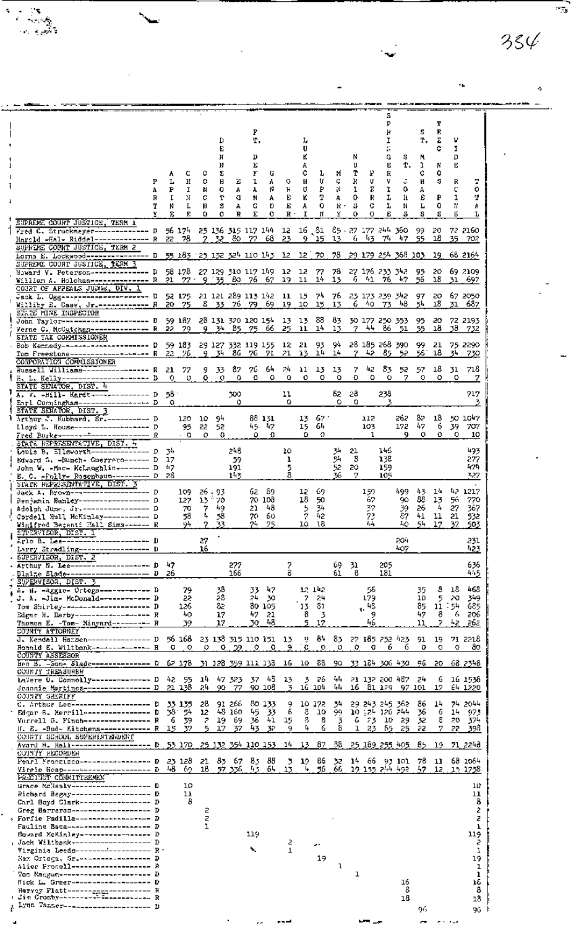|                                                                                                           |          |                                 |            |                    |                      |                         |                             |            |           |              |            |          |            | s<br>P              |                                |              | т         |             |                       |
|-----------------------------------------------------------------------------------------------------------|----------|---------------------------------|------------|--------------------|----------------------|-------------------------|-----------------------------|------------|-----------|--------------|------------|----------|------------|---------------------|--------------------------------|--------------|-----------|-------------|-----------------------|
|                                                                                                           |          |                                 |            |                    |                      | P                       |                             |            |           |              |            |          |            | Ή                   |                                | s            | Е         |             |                       |
|                                                                                                           |          |                                 |            | Q                  |                      | T.                      |                             |            | ı,        |              |            |          |            | I                   |                                | т.           | Σ         | W           |                       |
|                                                                                                           |          |                                 |            | Е<br>Ν             |                      | υ                       |                             |            | u         |              |            | N        |            | ĸ<br>G              | s                              |              | c         | I<br>D      |                       |
|                                                                                                           |          |                                 |            | N                  |                      | Е                       |                             |            |           |              |            | υ        |            | Е                   | Ť.                             | м<br>ĩ.      | N         | Е           |                       |
|                                                                                                           | A        | c                               | c          | E                  |                      | F                       | G                           |            | c         | L.           | ×          | т        | Р.         | R                   |                                | c            | ٥         |             |                       |
| Р                                                                                                         | L        | н                               | 0          | н                  | z                    | ı                       | А                           | G.         | н         | U            | Ç          | R        | U          | ν                   | ũ                              | Н            | s         | R           |                       |
| 4                                                                                                         | P        | I                               | N          | o                  | А                    | A                       | N                           | Ħ          | U         | ₽            | Ν          | 1        | Τ.         | 1                   | ٥                              | А            |           | c           | ۰<br>Φ                |
| R<br>Т                                                                                                    | Г<br>Ν   | И<br>L                          | c<br>H     | т<br>s             | G<br>A               | м<br>G                  | A<br>Đ                      | Ð.<br>Е    | ĸ<br>A    | т<br>۰       | А<br>R٠    | 0<br>В   | R<br>с     | L<br>r              | Ħ<br>И                         | £<br>Ŀ       | ₽<br>٥    | Ĩ<br>К      | A                     |
|                                                                                                           | E        | F.                              | ٥          | Ð                  | R                    | Е                       | o                           | R -        | I         | ĸ            | Y          | о        | o          | Е                   | s                              | s            | s         | ε           | L                     |
| SIPREME COUNT JUSTICE, TERM 1                                                                             |          |                                 |            |                    |                      |                         |                             |            |           |              |            |          |            |                     |                                |              |           |             |                       |
| Fred C. Struckmeyer------------- D 56 174 25 136 315 117 144 12 16 81 85 87 177 244 360                   |          |                                 |            |                    |                      |                         |                             |            |           |              |            |          |            |                     |                                | -99          | 20        |             | 72 2160               |
| Harold -Hal- Riddel------------- R 22 78                                                                  |          |                                 |            |                    | <u>2.32.80.77.</u>   |                         | -68                         | -23        |           | 9 15 13      |            | 6.       | 43         |                     | 74 47                          | 55.          | 18        |             | 35 702                |
| SUPREME COURT JUSTICE, TERM 2<br>Larna E. Lockwood--------------- D 55 183 23 132 324 110 143 12 12 70 78 |          |                                 |            |                    |                      |                         |                             |            |           |              |            |          |            |                     | 29, 179, 254, 368, 103,        |              | 19.       |             | 68 2164               |
| SUPREME COUNT JUSTICE, TERM 3                                                                             |          |                                 |            |                    |                      |                         |                             |            |           |              |            |          |            |                     |                                |              |           |             |                       |
| Hiward V. Peterson--------------- D                                                                       |          | 58 178 27 129 310 117 149 12 12 |            |                    |                      |                         |                             |            |           | - 77         | 78         |          |            | 27 176 233 342      |                                | 95.          |           |             | 20 69 2109            |
| William A. Holohan-------------- R 21                                                                     |          |                                 |            |                    |                      | $77 - 9$ 35 80 76 67    |                             | 19.        | ll        | 14           | 13         | 6.       | 41         |                     | 76 47                          | 56           | 18.       |             | 31.697                |
| COURT OF APPEALS JUDGE, DIV. 1<br>Jack L. Ugg--------------------- D 52 175 21 121 289 113 142 11 15      |          |                                 |            |                    |                      |                         |                             |            |           | 74 76        |            |          |            |                     | 23 173 239 342                 | 97           | 20        |             | 67 2050               |
| Williev E. Case, Jr. ------------ R 20 75                                                                 |          |                                 | 8.         | 33.                | -76                  | 79                      | 69                          | 19         | 10        | 15           | 13         | 6.       | 40.        | 73                  | 48                             | 54           | 18        | 31          | 687                   |
| STATE MINE INSPECTOR                                                                                      |          |                                 |            |                    |                      |                         |                             |            |           |              |            |          |            |                     |                                |              |           |             |                       |
| John Taylor--------------------- D                                                                        |          | 59 187                          |            |                    |                      | 28 131 320 120 154      |                             | 13 13      |           | 88           | - 83       |          |            | 30 177 250 353      |                                | 95           | 20        |             | 72 2193               |
| Verne C. McC <u>utchan------------</u> - R                                                                |          | 22 79                           | 9.         |                    | 34 85                | 75                      | 66                          | 25.        | 11        | 14           | 13         | $7 -$    | 44         |                     | 86 51                          | 55           | 19        | 38.         | - 732                 |
| STATE TAX COMMISSIONER<br>Bob Kentedy---------------------- D                                             |          | 59 183 -                        |            |                    |                      |                         | 29 127 332 119 155 12 21 93 |            |           |              | 94.        |          |            | 28 185 268 390      |                                | 99.          | 21        |             | 75 2290               |
| Tom Freestone------------------- R                                                                        | 22       | 76.                             |            | 9 34               | - 86                 | 76.                     | 71                          | 21         | 13        | 14 14        |            |          | 7 42 85    |                     | 52.                            | 56.          | 18        | 34          | 730                   |
| CORPOPATION COMMISSIONER                                                                                  |          |                                 |            |                    |                      |                         |                             |            |           |              |            |          |            |                     |                                |              |           |             |                       |
| Russell Williams---------------- R                                                                        | 21.      | 77                              |            | 9 33               | 87                   | 76.                     | 64.                         | 24.        | 11        | 13           | 13         | 7        | 42.        | 83.                 | 52.                            | 57.          | 18        | 31          | 718                   |
| H. L. Kelly-------------- <b>-------</b> D<br>STATE SENATOR, DIST. 4                                      | 0.       | o                               |            | 0.0                | Ο.                   | o                       | ٥                           | 0          | 0         | ٥            | о          | Ð        | ٥          | ۰                   | 7                              | o            | ٥         | ۰           |                       |
| A. V. -Hill- Hardt-------------- D                                                                        | 55 ·     |                                 |            |                    | 300                  |                         |                             | 11         |           |              | 82.        | -28      |            | 238                 |                                |              |           |             | 717                   |
| Enrl Cuchingham----------------- D                                                                        | o        |                                 |            |                    | ٥                    |                         |                             | ۰          |           |              | ٥          | ٥        |            | 3                   |                                |              |           |             |                       |
| STATE SEMATOR, DIST. 3                                                                                    |          |                                 |            |                    |                      |                         |                             |            |           |              |            |          |            |                     |                                |              |           |             |                       |
| Arthur J. Hubbard, Sr.----------- D<br>Lloyd L. House------------------- D                                |          | 120 -<br>95.                    | 10.<br>22. | - 94<br>52         |                      |                         | 88 131<br>45 47             |            | 15.       | 1367<br>64   |            |          | 112<br>103 |                     | 262<br>172                     | 82.<br>47    | 18<br>6   | 39.         | 50 1047<br>707        |
| Fred Burke---------------------- R                                                                        |          | . 0                             | o          | ≎                  |                      | ٥                       | 0                           |            | 0         | O.           |            |          | ı          |                     | 9                              | 0            | o         | o           | 10                    |
| STATE REPRESENTATIVE, DIST. 4                                                                             |          |                                 |            |                    |                      |                         |                             |            |           |              |            |          |            |                     |                                |              |           |             |                       |
| Louis B. Ellsworth-------------- D                                                                        | 34       |                                 |            |                    | 248                  |                         |                             | 10         |           |              | 34         | 21       |            | 146                 |                                |              |           |             | 493                   |
| Edward G. -Bunch- Guerrero------ D                                                                        | 17       |                                 |            |                    | 59                   |                         |                             | ı          |           |              | 54         | 3        |            | 138                 |                                |              |           |             | 277                   |
| John W. -Mac- KeLaughlin-------- D<br>E. C. - Folly- Rosenbaum-------- D                                  | 47<br>28 |                                 |            |                    | 191<br>143           |                         |                             | 5          |           |              | 52<br>76   | 20.<br>7 |            | 159<br>105          |                                |              |           |             | 474<br>327            |
| STAIL REPRESENTATIVE, DIST. 3                                                                             |          |                                 |            |                    |                      |                         |                             |            |           |              |            |          |            |                     |                                |              |           |             |                       |
| Jack A. Brown------------------- D                                                                        |          | 109.                            |            | 26.93              |                      |                         | 62 89                       |            | 12.       | -69          |            |          | 159        |                     | 499.                           | 43.          | 14        |             | 42 1217               |
| Denjamis Banley----------------- D                                                                        |          | 127                             |            | 13 70              |                      |                         | 70 108                      |            | 18.       | 50.          |            |          | 67         |                     | 90.                            | 88           | 13        | 56.         | 770                   |
| Adolph June, Jr. ---------------- D                                                                       |          | 70                              | 4          | 7 49               |                      | 21                      | 48.                         |            | 5         | 34.          |            |          | 37         |                     | 39                             | 26           | 4         | 27          | 367                   |
| Cordell Hull McKinlay----------- D<br>Winifred Becamii Hall Sims-+++++ R                                  |          | 58<br>94                        | 2          | 58<br>22           |                      | 70.<br>24.              | 60.<br>75                   |            | 2<br>10.  | 42<br>- 18   |            |          | 73<br>ł, 4 |                     | 87<br>Ŀo.                      | 41<br>54     | 11<br>17  | 21<br>37    | 532<br>503            |
| STERVISOR, DIST. I                                                                                        |          |                                 |            |                    |                      |                         |                             |            |           |              |            |          |            |                     |                                |              |           |             |                       |
| Arlo B. Lee---------------------- D                                                                       |          |                                 | 27         |                    |                      |                         |                             |            |           |              |            |          |            |                     | 204                            |              |           |             | 231                   |
| Larry Stradling------------------- D                                                                      |          |                                 | 16         |                    |                      |                         |                             |            |           |              |            |          |            |                     | 407                            |              |           |             | 423                   |
| SUPERVISOR, DIST. 2<br>. Arthur N. Lee-------------------- D                                              | 47       |                                 |            |                    | 277                  |                         |                             | 7          |           |              | 69         | 31       |            | 205                 |                                |              |           |             | 636                   |
| Dlaime Slad <del>e------------------</del> -<br>v                                                         | 26       |                                 |            |                    | 166                  |                         |                             | 8          |           |              | 61         | 8.       |            | 181                 |                                |              |           |             | 445                   |
| SUPERVISOR, DIST. 3                                                                                       |          |                                 |            |                    |                      |                         |                             |            |           |              |            |          |            |                     |                                |              |           |             |                       |
| н. Н. –Аggie- Ortega------------ D                                                                        |          | 79                              |            | 38<br>28           |                      | 33                      | 47                          |            |           | 12, 142,     |            |          | 56         |                     |                                | 35           | 8         | 18          | 468                   |
| J. A. -Jim- McDonald------------<br>Tom Shirley----------------------<br>D                                |          | 22<br>126                       |            | 82                 |                      | 24<br>80.               | -30<br>105                  |            | 7<br>13   | 24<br>81.    |            |          | 179<br>48  |                     |                                | 10<br>85     | 5<br>11   | 20.<br>- 54 | 349<br>685            |
| Edgar H. Darby----------------- R                                                                         |          | 40                              |            | 17                 |                      | 47                      | 21                          |            | 8         | 3            |            |          | ı.<br>9    |                     |                                | 47           | 8         | 6           | 206                   |
| Thomas E. -Tom- Minyard--------- R                                                                        |          | 39                              |            | 17                 |                      | 30.                     | 48                          |            | ã         | 17           |            |          | 46         |                     |                                | 11           | 7         | 42.         | 262                   |
| COUNTY ATTORNEY                                                                                           |          |                                 |            |                    |                      |                         |                             |            |           |              |            |          |            |                     |                                |              |           |             |                       |
| J. Kendall Hamsen--------------- D<br>Ronald E. Wiltbank------------- R                                   | Đ        | 56 168<br>9.                    | 9.         | $\mathbf{o}_\cdot$ | 22.                  | 23 138 315 110 151<br>9 | 0                           | - 13<br>9. | 9.,<br>9. | B+<br>0      | 83.<br>9   | 9.       | o          | 27 185 252 423<br>6 | f,                             | 91<br>0      | 19<br>Ð   | o           | 71 2218<br>ao,        |
| COUNTY ASSESSOR                                                                                           |          |                                 |            |                    |                      |                         |                             |            |           |              |            |          |            |                     |                                |              |           |             |                       |
| Hen B. -Son- Slade--------------- D                                                                       |          | 62 178                          |            |                    |                      | 31 328 359 111 133      |                             | 16         | 10.       | -88          | 90.        |          |            | - 33 124 306 430    |                                | 96.          | 20.       |             | 68 2348               |
| COUNTY TREASURER                                                                                          |          |                                 |            |                    |                      |                         |                             |            |           |              |            |          |            |                     |                                |              |           |             |                       |
| LaVere 0. Connolly-------------- D<br>Jeannie Martineg---------------- D                                  |          | 42 55<br>21 138                 | 14<br>24   | 90.                | 47 323<br>77         | 37.                     | 45<br>90 108                | 13<br>3    | 3         | 26<br>16 104 | 44<br>44   | 16       |            | 81 129              | 21 132 200 482                 | 24<br>97 101 | 6<br>17   |             | 16 1538<br>64 1220    |
| COUNTY GHERIFF                                                                                            |          |                                 |            |                    |                      |                         |                             |            |           |              |            |          |            |                     |                                |              |           |             |                       |
| ш                                                                                                         |          | 33 135                          | 28         |                    | 91 266               |                         | 80 133                      | 9          |           | 10 172       | 34         |          |            | 29 243 245 362      |                                | 86           | 14        |             | 74 2044               |
| Edgar B. Merrill-----------------<br>D                                                                    | 58.      | -54                             | 12         |                    | 48 160               | 45                      | 33                          | 6          | Ş,        | ΠO           | 99.        |          |            | 10 126 126 244      |                                | 56           | 6         | 14          | -975                  |
| Yurrell G. Finch---------------- R<br>H. E. -Sud- Kitchens------------ R                                  | 6<br>15  | 39<br>37                        | г<br>5     | 19<br>17           | -69<br>37            | 36.<br>43               | 41<br>32                    | 15<br>9    | 8<br>4    | 8<br>6       | 3<br>8     | ъ<br>ı   | 23.<br>23  | 10.<br>85           | -29<br>25                      | 32<br>55     | 8<br>7    | 20.<br>22.  | -374<br><u>- 398 </u> |
| солятт зоноог эльным дарынг                                                                               |          |                                 |            |                    |                      |                         |                             |            |           |              |            |          |            |                     |                                |              |           |             |                       |
| Avard M. Hall-------------------- D                                                                       |          | 53 170                          |            |                    |                      | 25 132 354 110 153      |                             | 14         | 13.       | 87           | 38.        |          |            | 25, 189, 255, 405   |                                | 85           | 19.       |             | 71 2246               |
| COTATY RECORDER                                                                                           |          |                                 |            |                    |                      |                         |                             |            |           |              |            |          |            |                     |                                |              |           |             |                       |
| Pearl Francisco----------------- D<br>Virgio Read---------------------- D                                 | 48.      | 23 128<br>69.                   | 21.<br>16. |                    | - 83 - 67<br>57.356. | 83<br>-45               | 88<br>64                    | 3<br>13    | 19.<br>4  | 86<br>56     | 32.<br>66. |          |            |                     | 14 66 93 101<br>19 155 244 492 | 78<br>- 7    | 11<br>12. |             | 68 1064<br>15 1758    |
| <b>FRACINCT COMMITTEEMEN</b>                                                                              |          |                                 |            |                    |                      |                         |                             |            |           |              |            |          |            |                     |                                |              |           |             |                       |
| tirace McNealy-------------------- D                                                                      |          | 10                              |            |                    |                      |                         |                             |            |           |              |            |          |            |                     |                                |              |           |             | 10                    |
| Richard Begay------------------- D                                                                        |          | 11                              |            |                    |                      |                         |                             |            |           |              |            |          |            |                     |                                |              |           |             | 11                    |
| Carl Boyd Clark----------------- D<br>Greg Barrerss------------------- D                                  |          | 8                               | z          |                    |                      |                         |                             |            |           |              |            |          |            |                     |                                |              |           |             | 8<br>2                |
| > Forfie Padilla------------------ D                                                                      |          |                                 | z          |                    |                      |                         |                             |            |           |              |            |          |            |                     |                                |              |           |             | z                     |
| Fauline Baca--------------------- D                                                                       |          |                                 | ı          |                    |                      |                         |                             |            |           |              |            |          |            |                     |                                |              |           |             | ı                     |
| Howard McKinley-----------------<br>, Jack Wiltbank------------------- D                                  |          |                                 |            |                    |                      | 119                     |                             |            |           |              |            |          |            |                     |                                |              |           |             | 119<br>г              |
| Virginia Leeds------------------- R -                                                                     |          |                                 |            |                    |                      | ↖                       |                             | 2<br>ı     |           | د و          |            |          |            |                     |                                |              |           |             | ı                     |
| Nex Ortega, Sr. ------------------                                                                        |          |                                 |            |                    |                      |                         |                             |            |           | 19           |            |          |            |                     |                                |              |           |             | 19                    |
| Alice Frocell--------------------                                                                         |          |                                 |            |                    |                      |                         |                             |            |           |              | ι          |          |            |                     |                                |              |           |             | ı                     |
| Top Mangum---------------------- D<br>Mick L. Greer-------------------- D                                 |          |                                 |            |                    |                      |                         |                             |            |           |              |            | ı        |            |                     | 16                             |              |           |             | ı<br>16               |
| Harvey Platt--------------------                                                                          |          |                                 |            |                    |                      |                         |                             |            |           |              |            |          |            |                     | 8                              |              |           |             | 8                     |
| + Jim Crosby-----------------------                                                                       |          |                                 |            |                    |                      |                         |                             |            |           |              |            |          |            |                     | 18                             |              |           |             | 18                    |
| ); Lynn Tanner--------------------- D                                                                     |          |                                 |            |                    |                      |                         |                             |            |           |              |            |          |            |                     |                                | 96           |           |             | 96.                   |

 $\ddot{\phantom{0}}$ 

1

L.

 $354$ 

Ą

٠L

 $96\,$ 

96 F

्ड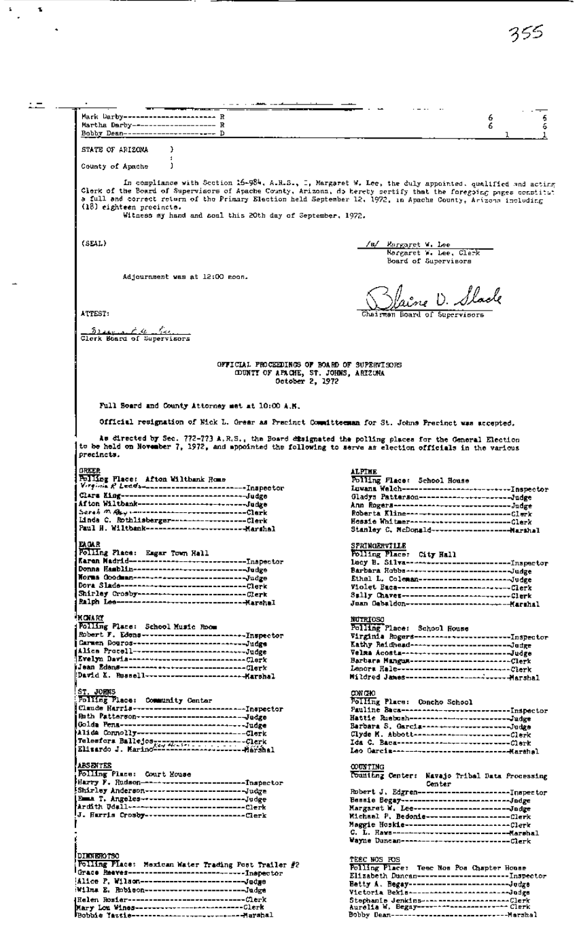$\pm$  $\equiv$  .  $\equiv$  $\epsilon = 1.0$  and  $\epsilon$ Mark Darby----------------------- R 6<br>6 6 Martha Darby-------------------- R 6 Bobby Dean---------------------- D STATE OF ARIZONA  $\,$ County of Apache J. In compliance with Section 16-984, A.R.S., I, Margaret W. Lee, the duly appointed, qualified and acting<br>Glerk of the Board of Supervisors of Apache County, Arizona, do hereby sertify that the foregoing pages constituted an (18) eighteen precincte. Witness my hand and soal this 20th day of September, 1972.  $(SELL)$ Rurgaret W. Lee Norgaret W. Lee, Clerk<br>Norgaret W. Lee, Clerk<br>Board of Supervisors Adjournment was at 12:00 noon. faine D. Slack ATTEST: Board of Speervisors Sider Ad Additional Clerk Board of Supervisors OFFICIAL PROCEEDINGS OF BOARD OF SUPERVISORS<br>
COUNTI OF APACHE, ST. JOHNS, ARIZURA<br>
October 2, 1972 Full Soard and County Attorney met at 10:00 A.B. Official resignation of Mick L. Grear as Precinct Committeeman for St. Johns Precinct was accepted. As directed by Sec. 772-773 A.R.S., the Board disignated the polling places for the General Election<br>to be held on November 7, 1972, and appointed the following to serve as election officials in the various precincts. **GROO** ALPINE BRASH<br>Polling Flace: Afton Wilthamk Rome<br>Version & Leeds----------------------------Inapector<br>Clars King------------------------------Judge<br>Afton Wilthamk---------------------------Judge Polling Place: School House -----------------<br>Ann Rogera---------------------------Judge Serah m Asy -----------------------------Clark num ungua<br>Roberta Kline--------------------------Clerk<br>Hessie Whitmer-------------------------Clerk na. **SPRINGERVILLE** Folling Place: City Hall Dora Slade------------------------------Clerk **MONARY NUTRIOSO** numany<br>Folling Place: School Music Room<br>Robert F. Edens--------------------------Inspector<br>Carmen Douros------------------------------Judge<br>Alica Procell----------------------------Judge Polling Place: School House JOHNS ржаю Politing Place: Community Center Folling Place: Concho School<br>Pauline Baca----------------------------Inspector<br>Hattie Ruebush--------------------------Judge<br>Barbara S. Garcia----------------------Judge<br>Clyde M. Abbott---------------------------Clerk **ABSENTER COUNTING** Polling Place: Court House **DIMMEROTSO** TEEC WOS FOS<br>Polling Place: Teec Nos Pos Chapter House Folling Place: Mexican Water Trading Post Trailer #2 Elizabeth Duncan-------------------------Inspector<br>Betty A. Begay------------------------------Judge<br>Victoria Bekla---------------------------Judge Wilma E. Robieon------------------------Judge Stephanie Jenkins-------------------------Clerk<br>Aurelia W. Begay---------------------------Clerk<br>Bobby Dean----------------------------------Marshal 

 $\mathbf{z}$ 

 $\mathbf{r}$